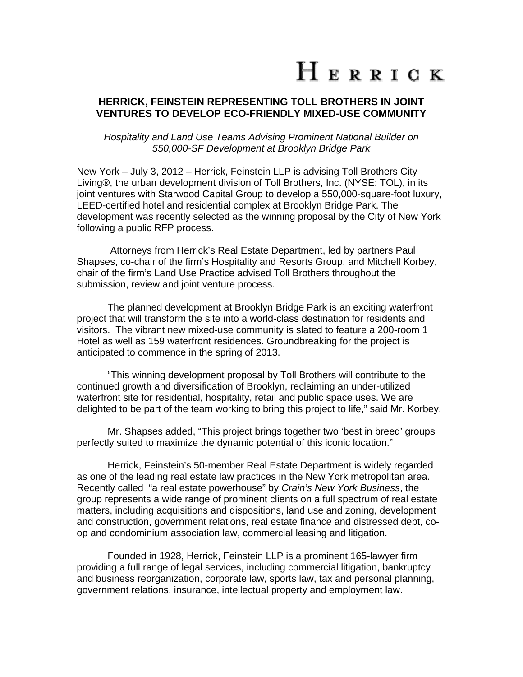## HERRICK

## **HERRICK, FEINSTEIN REPRESENTING TOLL BROTHERS IN JOINT VENTURES TO DEVELOP ECO-FRIENDLY MIXED-USE COMMUNITY**

*Hospitality and Land Use Teams Advising Prominent National Builder on 550,000-SF Development at Brooklyn Bridge Park* 

New York – July 3, 2012 – Herrick, Feinstein LLP is advising Toll Brothers City Living®, the urban development division of Toll Brothers, Inc. (NYSE: TOL), in its joint ventures with Starwood Capital Group to develop a 550,000-square-foot luxury, LEED-certified hotel and residential complex at Brooklyn Bridge Park. The development was recently selected as the winning proposal by the City of New York following a public RFP process.

 Attorneys from Herrick's Real Estate Department, led by partners Paul Shapses, co-chair of the firm's Hospitality and Resorts Group, and Mitchell Korbey, chair of the firm's Land Use Practice advised Toll Brothers throughout the submission, review and joint venture process.

The planned development at Brooklyn Bridge Park is an exciting waterfront project that will transform the site into a world-class destination for residents and visitors. The vibrant new mixed-use community is slated to feature a 200-room 1 Hotel as well as 159 waterfront residences. Groundbreaking for the project is anticipated to commence in the spring of 2013.

"This winning development proposal by Toll Brothers will contribute to the continued growth and diversification of Brooklyn, reclaiming an under-utilized waterfront site for residential, hospitality, retail and public space uses. We are delighted to be part of the team working to bring this project to life," said Mr. Korbey.

 Mr. Shapses added, "This project brings together two 'best in breed' groups perfectly suited to maximize the dynamic potential of this iconic location."

Herrick, Feinstein's 50-member Real Estate Department is widely regarded as one of the leading real estate law practices in the New York metropolitan area. Recently called "a real estate powerhouse" by *Crain's New York Business*, the group represents a wide range of prominent clients on a full spectrum of real estate matters, including acquisitions and dispositions, land use and zoning, development and construction, government relations, real estate finance and distressed debt, coop and condominium association law, commercial leasing and litigation.

Founded in 1928, Herrick, Feinstein LLP is a prominent 165-lawyer firm providing a full range of legal services, including commercial litigation, bankruptcy and business reorganization, corporate law, sports law, tax and personal planning, government relations, insurance, intellectual property and employment law.